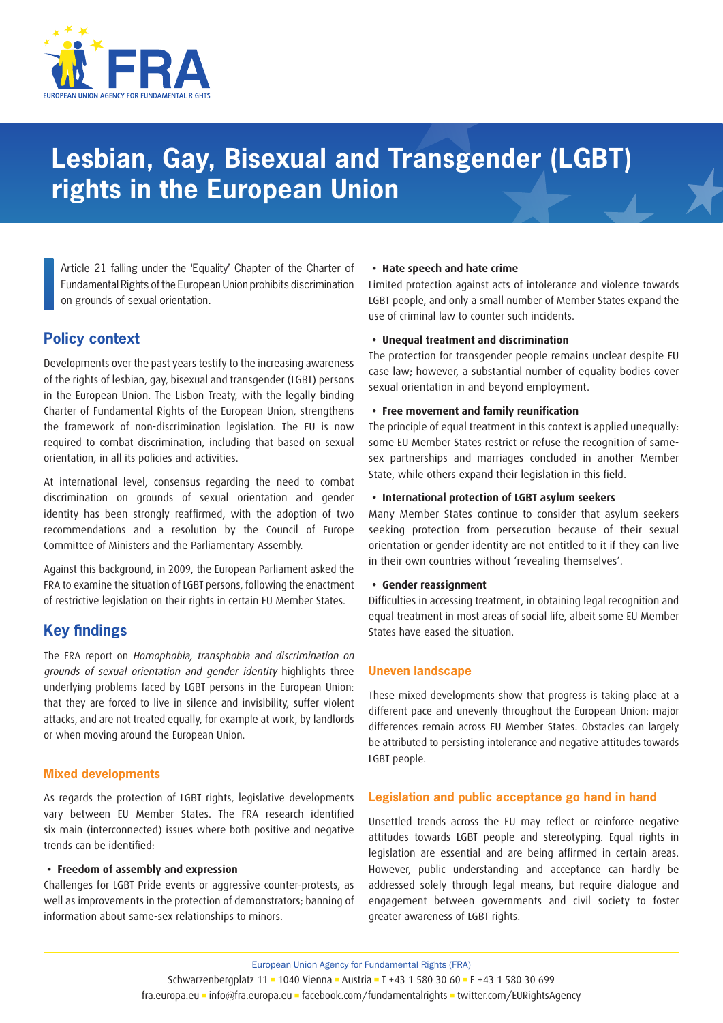

# **Lesbian, Gay, Bisexual and Transgender (LGBT) rights in the European Union**

Article 21 falling under the 'Equality' Chapter of the Charter of Fundamental Rights of the European Union prohibits discrimination on grounds of sexual orientation.

# **Policy context**

Developments over the past years testify to the increasing awareness of the rights of lesbian, gay, bisexual and transgender (LGBT) persons in the European Union. The Lisbon Treaty, with the legally binding Charter of Fundamental Rights of the European Union, strengthens the framework of non-discrimination legislation. The EU is now required to combat discrimination, including that based on sexual orientation, in all its policies and activities.

At international level, consensus regarding the need to combat discrimination on grounds of sexual orientation and gender identity has been strongly reaffirmed, with the adoption of two recommendations and a resolution by the Council of Europe Committee of Ministers and the Parliamentary Assembly.

Against this background, in 2009, the European Parliament asked the FRA to examine the situation of LGBT persons, following the enactment of restrictive legislation on their rights in certain EU Member States.

# **Key findings**

The FRA report on Homophobia, transphobia and discrimination on grounds of sexual orientation and gender identity highlights three underlying problems faced by LGBT persons in the European Union: that they are forced to live in silence and invisibility, suffer violent attacks, and are not treated equally, for example at work, by landlords or when moving around the European Union.

### **Mixed developments**

As regards the protection of LGBT rights, legislative developments vary between EU Member States. The FRA research identified six main (interconnected) issues where both positive and negative trends can be identified:

#### **• Freedom of assembly and expression**

Challenges for LGBT Pride events or aggressive counter-protests, as well as improvements in the protection of demonstrators; banning of information about same-sex relationships to minors.

#### **• Hate speech and hate crime**

Limited protection against acts of intolerance and violence towards LGBT people, and only a small number of Member States expand the use of criminal law to counter such incidents.

#### **• Unequal treatment and discrimination**

The protection for transgender people remains unclear despite EU case law; however, a substantial number of equality bodies cover sexual orientation in and beyond employment.

#### **• Free movement and family reunification**

The principle of equal treatment in this context is applied unequally: some EU Member States restrict or refuse the recognition of samesex partnerships and marriages concluded in another Member State, while others expand their legislation in this field.

#### **• International protection of LGBT asylum seekers**

Many Member States continue to consider that asylum seekers seeking protection from persecution because of their sexual orientation or gender identity are not entitled to it if they can live in their own countries without 'revealing themselves'.

#### **• Gender reassignment**

Difficulties in accessing treatment, in obtaining legal recognition and equal treatment in most areas of social life, albeit some EU Member States have eased the situation.

#### **Uneven landscape**

These mixed developments show that progress is taking place at a different pace and unevenly throughout the European Union: major differences remain across EU Member States. Obstacles can largely be attributed to persisting intolerance and negative attitudes towards LGBT people.

### **Legislation and public acceptance go hand in hand**

Unsettled trends across the EU may reflect or reinforce negative attitudes towards LGBT people and stereotyping. Equal rights in legislation are essential and are being affirmed in certain areas. However, public understanding and acceptance can hardly be addressed solely through legal means, but require dialogue and engagement between governments and civil society to foster greater awareness of LGBT rights.